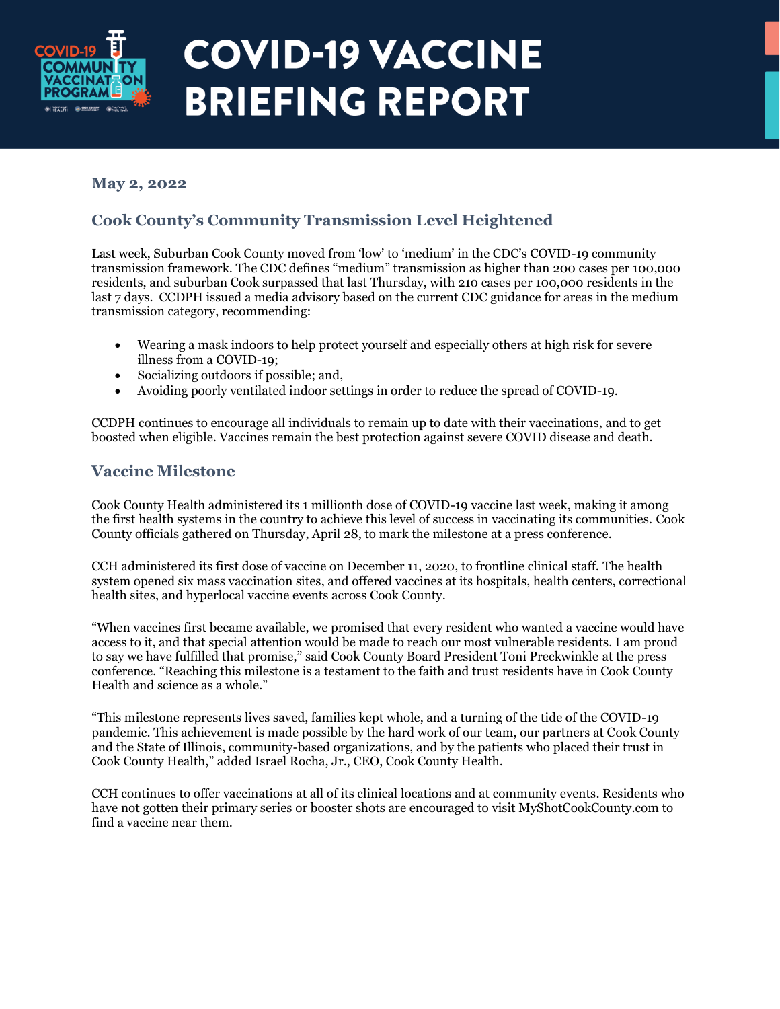

#### **May 2, 2022**

#### **Cook County's Community Transmission Level Heightened**

Last week, Suburban Cook County moved from 'low' to 'medium' in the CDC's COVID-19 community transmission framework. The CDC defines "medium" transmission as higher than 200 cases per 100,000 residents, and suburban Cook surpassed that last Thursday, with 210 cases per 100,000 residents in the last 7 days. CCDPH issued a media advisory based on the current CDC guidance for areas in the medium transmission category, recommending:

- Wearing a mask indoors to help protect yourself and especially others at high risk for severe illness from a COVID-19;
- Socializing outdoors if possible; and,
- Avoiding poorly ventilated indoor settings in order to reduce the spread of COVID-19.

CCDPH continues to encourage all individuals to remain up to date with their vaccinations, and to get boosted when eligible. Vaccines remain the best protection against severe COVID disease and death.

#### **Vaccine Milestone**

Cook County Health administered its 1 millionth dose of COVID-19 vaccine last week, making it among the first health systems in the country to achieve this level of success in vaccinating its communities. Cook County officials gathered on Thursday, April 28, to mark the milestone at a press conference.

CCH administered its first dose of vaccine on December 11, 2020, to frontline clinical staff. The health system opened six mass vaccination sites, and offered vaccines at its hospitals, health centers, correctional health sites, and hyperlocal vaccine events across Cook County.

"When vaccines first became available, we promised that every resident who wanted a vaccine would have access to it, and that special attention would be made to reach our most vulnerable residents. I am proud to say we have fulfilled that promise," said Cook County Board President Toni Preckwinkle at the press conference. "Reaching this milestone is a testament to the faith and trust residents have in Cook County Health and science as a whole."

"This milestone represents lives saved, families kept whole, and a turning of the tide of the COVID-19 pandemic. This achievement is made possible by the hard work of our team, our partners at Cook County and the State of Illinois, community-based organizations, and by the patients who placed their trust in Cook County Health," added Israel Rocha, Jr., CEO, Cook County Health.

CCH continues to offer vaccinations at all of its clinical locations and at community events. Residents who have not gotten their primary series or booster shots are encouraged to visit MyShotCookCounty.com to find a vaccine near them.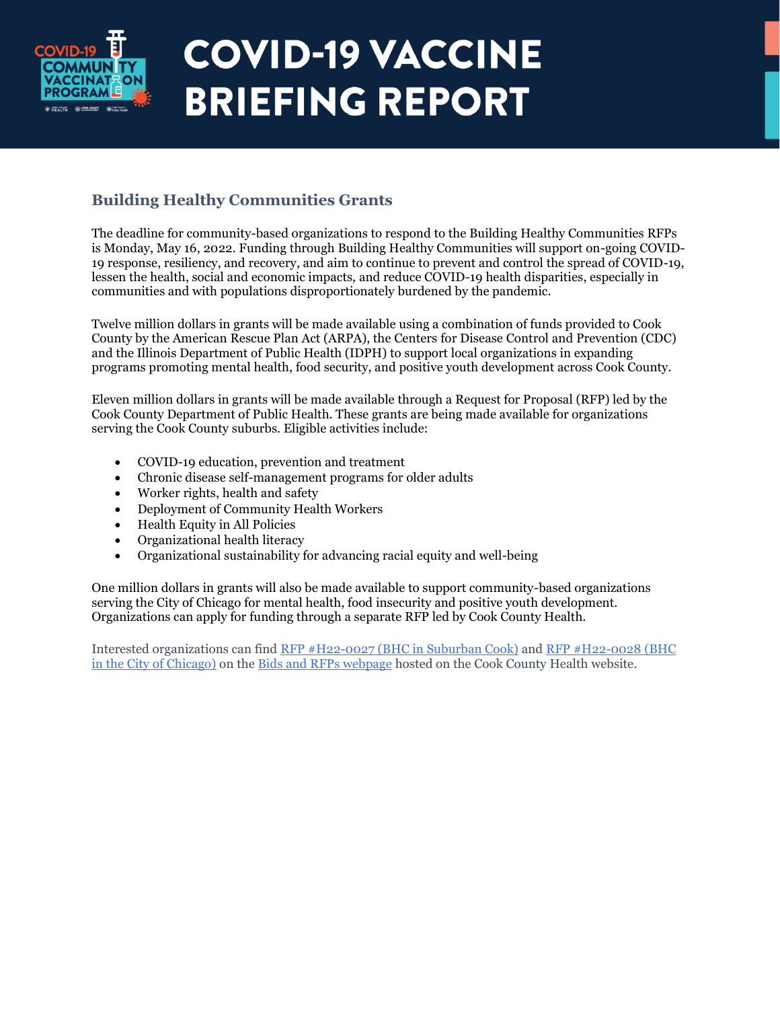

### **Building Healthy Communities Grants**

The deadline for community-based organizations to respond to the Building Healthy Communities RFPs is Monday, May 16, 2022. Funding through Building Healthy Communities will support on-going COVID-19 response, resiliency, and recovery, and aim to continue to prevent and control the spread of COVID-19, lessen the health, social and economic impacts, and reduce COVID-19 health disparities, especially in communities and with populations disproportionately burdened by the pandemic.

Twelve million dollars in grants will be made available using a combination of funds provided to Cook County by the American Rescue Plan Act (ARPA), the Centers for Disease Control and Prevention (CDC) and the Illinois Department of Public Health (IDPH) to support local organizations in expanding programs promoting mental health, food security, and positive youth development across Cook County.

Eleven million dollars in grants will be made available through a Request for Proposal (RFP) led by the Cook County Department of Public Health. These grants are being made available for organizations serving the Cook County suburbs. Eligible activities include:

- COVID-19 education, prevention and treatment
- Chronic disease self-management programs for older adults
- Worker rights, health and safety
- Deployment of Community Health Workers
- Health Equity in All Policies
- Organizational health literacy
- Organizational sustainability for advancing racial equity and well-being

One million dollars in grants will also be made available to support community-based organizations serving the City of Chicago for mental health, food insecurity and positive youth development. Organizations can apply for funding through a separate RFP led by Cook County Health.

Interested organizations can find [RFP #H22-0027 \(BHC in Suburban Cook\)](https://cookcountyhealth.org/public_bids/h22-0027/) and [RFP #H22-0028 \(BHC](https://cookcountyhealth.org/public_bids/h22-0028/)  [in the City of Chicago\)](https://cookcountyhealth.org/public_bids/h22-0028/) on the [Bids and RFPs webpage](https://cookcountyhealth.org/about/doing-business-with-cook-county-health/bids-rfps/) hosted on the Cook County Health website.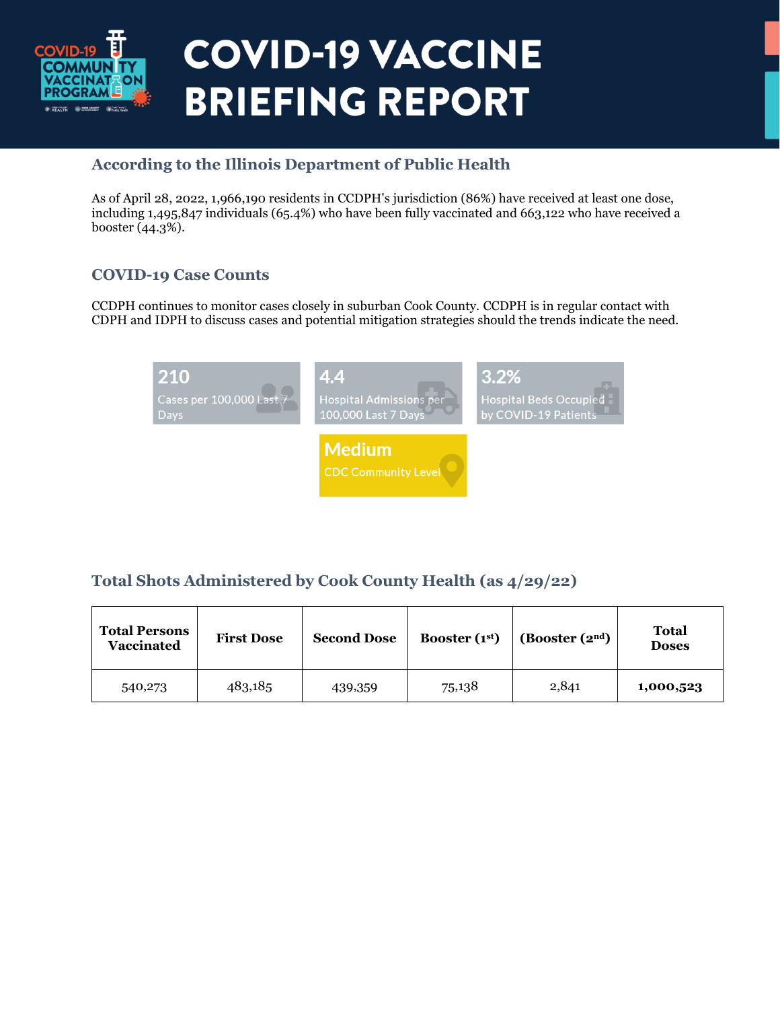

#### **According to the Illinois Department of Public Health**

As of April 28, 2022, 1,966,190 residents in CCDPH's jurisdiction (86%) have received at least one dose, including 1,495,847 individuals (65.4%) who have been fully vaccinated and 663,122 who have received a booster (44.3%).

#### **COVID-19 Case Counts**

CCDPH continues to monitor cases closely in suburban Cook County. CCDPH is in regular contact with CDPH and IDPH to discuss cases and potential mitigation strategies should the trends indicate the need.

| 210                      | 4.4                                         | 3.2%                          |
|--------------------------|---------------------------------------------|-------------------------------|
| Cases per 100,000 Last 7 | <b>Hospital Admissions per</b>              | <b>Hospital Beds Occupied</b> |
| <b>Days</b>              | 100,000 Last 7 Days                         | by COVID-19 Patients          |
|                          | <b>Medium</b><br><b>CDC Community Level</b> |                               |

### **Total Shots Administered by Cook County Health (as 4/29/22)**

| <b>Total Persons</b><br><b>Vaccinated</b> | <b>First Dose</b> | <b>Second Dose</b> | Booster $(1st)$ | (Booster(2 <sup>nd</sup> ) | Total<br><b>Doses</b> |
|-------------------------------------------|-------------------|--------------------|-----------------|----------------------------|-----------------------|
| 540,273                                   | 483,185           | 439,359            | 75,138          | 2,841                      | 1,000,523             |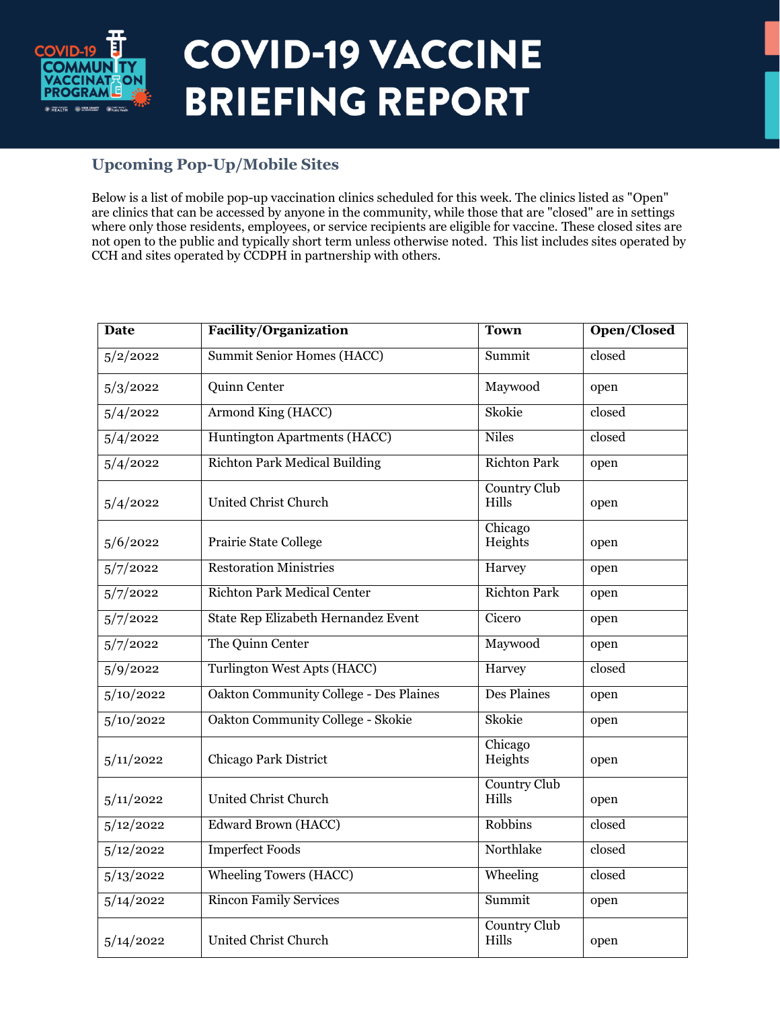

#### **Upcoming Pop-Up/Mobile Sites**

Below is a list of mobile pop-up vaccination clinics scheduled for this week. The clinics listed as "Open" are clinics that can be accessed by anyone in the community, while those that are "closed" are in settings where only those residents, employees, or service recipients are eligible for vaccine. These closed sites are not open to the public and typically short term unless otherwise noted. This list includes sites operated by CCH and sites operated by CCDPH in partnership with others.

| <b>Date</b>            | <b>Facility/Organization</b>                  | <b>Town</b>                  | Open/Closed |
|------------------------|-----------------------------------------------|------------------------------|-------------|
| 5/2/2022               | <b>Summit Senior Homes (HACC)</b>             | Summit                       | closed      |
| 5/3/2022               | Quinn Center                                  | Maywood                      | open        |
| 5/4/2022               | Armond King (HACC)                            | Skokie                       | closed      |
| $\frac{5}{4}/2022$     | Huntington Apartments (HACC)                  | <b>Niles</b>                 | closed      |
| $\frac{5}{4}/2022$     | <b>Richton Park Medical Building</b>          | <b>Richton Park</b>          | open        |
| 5/4/2022               | United Christ Church                          | <b>Country Club</b><br>Hills | open        |
| 5/6/2022               | Prairie State College                         | Chicago<br>Heights           | open        |
| 5/7/2022               | <b>Restoration Ministries</b>                 | Harvey                       | open        |
| 5/7/2022               | Richton Park Medical Center                   | <b>Richton Park</b>          | open        |
| $5/7/20$ <sub>22</sub> | State Rep Elizabeth Hernandez Event           | Cicero                       | open        |
| 5/7/2022               | The Quinn Center                              | Maywood                      | open        |
| 5/9/2022               | <b>Turlington West Apts (HACC)</b>            | Harvey                       | closed      |
| $\frac{5}{10}/2022$    | <b>Oakton Community College - Des Plaines</b> | Des Plaines                  | open        |
| $\frac{5}{10}/2022$    | Oakton Community College - Skokie             | Skokie                       | open        |
| 5/11/2022              | Chicago Park District                         | Chicago<br>Heights           | open        |
| 5/11/2022              | United Christ Church                          | Country Club<br>Hills        | open        |
| 5/12/2022              | Edward Brown (HACC)                           | Robbins                      | closed      |
| 5/12/2022              | <b>Imperfect Foods</b>                        | Northlake                    | closed      |
| 5/13/2022              | <b>Wheeling Towers (HACC)</b>                 | Wheeling                     | closed      |
| $\frac{5}{14}/2022$    | <b>Rincon Family Services</b>                 | Summit                       | open        |
| 5/14/2022              | United Christ Church                          | <b>Country Club</b><br>Hills | open        |